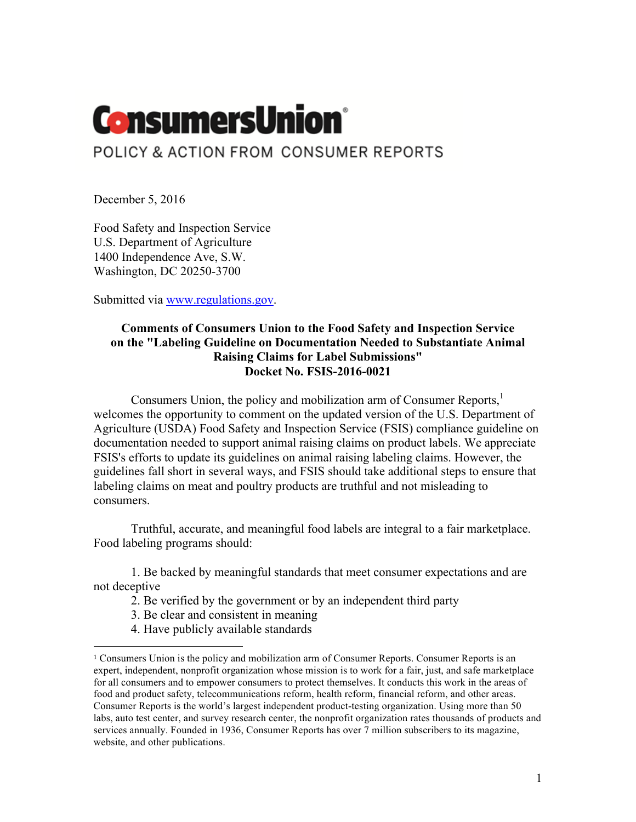# **ConsumersUnion**\*

# POLICY & ACTION FROM CONSUMER REPORTS

December 5, 2016

Food Safety and Inspection Service U.S. Department of Agriculture 1400 Independence Ave, S.W. Washington, DC 20250-3700

Submitted via www.regulations.gov.

## **Comments of Consumers Union to the Food Safety and Inspection Service on the "Labeling Guideline on Documentation Needed to Substantiate Animal Raising Claims for Label Submissions" Docket No. FSIS-2016-0021**

Consumers Union, the policy and mobilization arm of Consumer Reports,<sup>1</sup> welcomes the opportunity to comment on the updated version of the U.S. Department of Agriculture (USDA) Food Safety and Inspection Service (FSIS) compliance guideline on documentation needed to support animal raising claims on product labels. We appreciate FSIS's efforts to update its guidelines on animal raising labeling claims. However, the guidelines fall short in several ways, and FSIS should take additional steps to ensure that labeling claims on meat and poultry products are truthful and not misleading to consumers.

Truthful, accurate, and meaningful food labels are integral to a fair marketplace. Food labeling programs should:

1. Be backed by meaningful standards that meet consumer expectations and are not deceptive

- 2. Be verified by the government or by an independent third party
- 3. Be clear and consistent in meaning

 

4. Have publicly available standards

<sup>1</sup> Consumers Union is the policy and mobilization arm of Consumer Reports. Consumer Reports is an expert, independent, nonprofit organization whose mission is to work for a fair, just, and safe marketplace for all consumers and to empower consumers to protect themselves. It conducts this work in the areas of food and product safety, telecommunications reform, health reform, financial reform, and other areas. Consumer Reports is the world's largest independent product-testing organization. Using more than 50 labs, auto test center, and survey research center, the nonprofit organization rates thousands of products and services annually. Founded in 1936, Consumer Reports has over 7 million subscribers to its magazine, website, and other publications.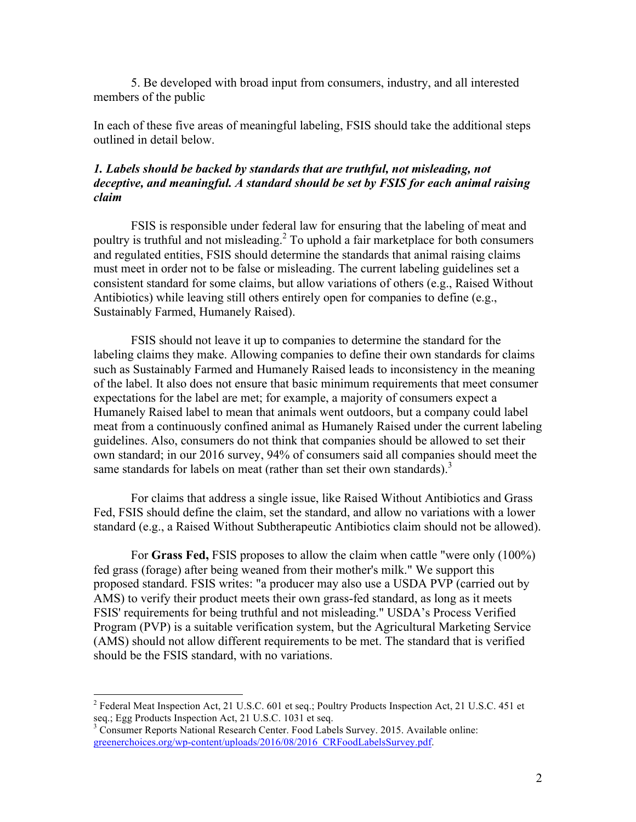5. Be developed with broad input from consumers, industry, and all interested members of the public

In each of these five areas of meaningful labeling, FSIS should take the additional steps outlined in detail below.

### *1. Labels should be backed by standards that are truthful, not misleading, not deceptive, and meaningful. A standard should be set by FSIS for each animal raising claim*

FSIS is responsible under federal law for ensuring that the labeling of meat and poultry is truthful and not misleading.<sup>2</sup> To uphold a fair marketplace for both consumers and regulated entities, FSIS should determine the standards that animal raising claims must meet in order not to be false or misleading. The current labeling guidelines set a consistent standard for some claims, but allow variations of others (e.g., Raised Without Antibiotics) while leaving still others entirely open for companies to define (e.g., Sustainably Farmed, Humanely Raised).

FSIS should not leave it up to companies to determine the standard for the labeling claims they make. Allowing companies to define their own standards for claims such as Sustainably Farmed and Humanely Raised leads to inconsistency in the meaning of the label. It also does not ensure that basic minimum requirements that meet consumer expectations for the label are met; for example, a majority of consumers expect a Humanely Raised label to mean that animals went outdoors, but a company could label meat from a continuously confined animal as Humanely Raised under the current labeling guidelines. Also, consumers do not think that companies should be allowed to set their own standard; in our 2016 survey, 94% of consumers said all companies should meet the same standards for labels on meat (rather than set their own standards).<sup>3</sup>

For claims that address a single issue, like Raised Without Antibiotics and Grass Fed, FSIS should define the claim, set the standard, and allow no variations with a lower standard (e.g., a Raised Without Subtherapeutic Antibiotics claim should not be allowed).

For **Grass Fed,** FSIS proposes to allow the claim when cattle "were only (100%) fed grass (forage) after being weaned from their mother's milk." We support this proposed standard. FSIS writes: "a producer may also use a USDA PVP (carried out by AMS) to verify their product meets their own grass-fed standard, as long as it meets FSIS' requirements for being truthful and not misleading." USDA's Process Verified Program (PVP) is a suitable verification system, but the Agricultural Marketing Service (AMS) should not allow different requirements to be met. The standard that is verified should be the FSIS standard, with no variations.

 <sup>2</sup> Federal Meat Inspection Act, 21 U.S.C. 601 et seq.; Poultry Products Inspection Act, 21 U.S.C. 451 et seq.; Egg Products Inspection Act, 21 U.S.C. 1031 et seq.

<sup>&</sup>lt;sup>3</sup> Consumer Reports National Research Center. Food Labels Survey. 2015. Available online: greenerchoices.org/wp-content/uploads/2016/08/2016\_CRFoodLabelsSurvey.pdf.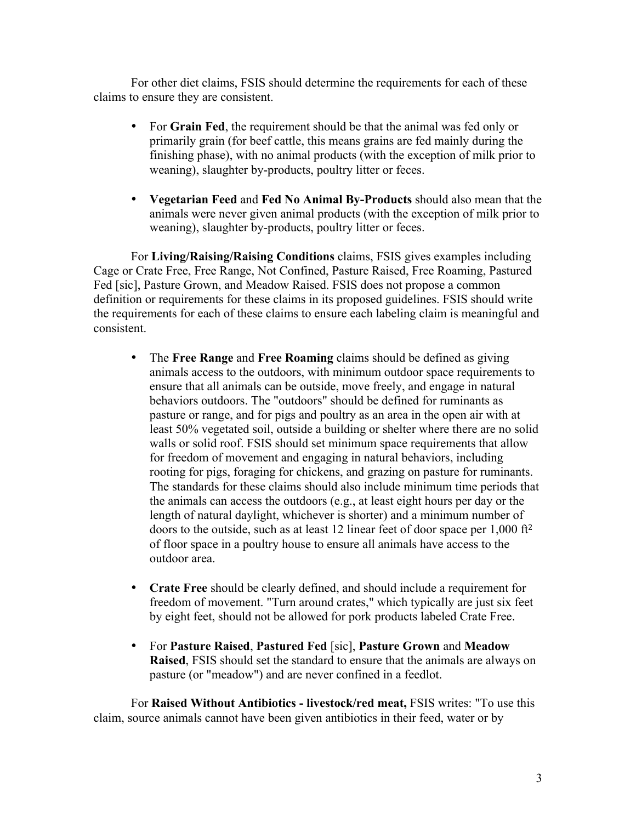For other diet claims, FSIS should determine the requirements for each of these claims to ensure they are consistent.

- For **Grain Fed**, the requirement should be that the animal was fed only or primarily grain (for beef cattle, this means grains are fed mainly during the finishing phase), with no animal products (with the exception of milk prior to weaning), slaughter by-products, poultry litter or feces.
- **Vegetarian Feed** and **Fed No Animal By-Products** should also mean that the animals were never given animal products (with the exception of milk prior to weaning), slaughter by-products, poultry litter or feces.

For **Living/Raising/Raising Conditions** claims, FSIS gives examples including Cage or Crate Free, Free Range, Not Confined, Pasture Raised, Free Roaming, Pastured Fed [sic], Pasture Grown, and Meadow Raised. FSIS does not propose a common definition or requirements for these claims in its proposed guidelines. FSIS should write the requirements for each of these claims to ensure each labeling claim is meaningful and consistent.

- The **Free Range** and **Free Roaming** claims should be defined as giving animals access to the outdoors, with minimum outdoor space requirements to ensure that all animals can be outside, move freely, and engage in natural behaviors outdoors. The "outdoors" should be defined for ruminants as pasture or range, and for pigs and poultry as an area in the open air with at least 50% vegetated soil, outside a building or shelter where there are no solid walls or solid roof. FSIS should set minimum space requirements that allow for freedom of movement and engaging in natural behaviors, including rooting for pigs, foraging for chickens, and grazing on pasture for ruminants. The standards for these claims should also include minimum time periods that the animals can access the outdoors (e.g., at least eight hours per day or the length of natural daylight, whichever is shorter) and a minimum number of doors to the outside, such as at least 12 linear feet of door space per 1,000 ft<sup>2</sup> of floor space in a poultry house to ensure all animals have access to the outdoor area.
- **Crate Free** should be clearly defined, and should include a requirement for freedom of movement. "Turn around crates," which typically are just six feet by eight feet, should not be allowed for pork products labeled Crate Free.
- For **Pasture Raised**, **Pastured Fed** [sic], **Pasture Grown** and **Meadow Raised**, FSIS should set the standard to ensure that the animals are always on pasture (or "meadow") and are never confined in a feedlot.

For **Raised Without Antibiotics - livestock/red meat,** FSIS writes: "To use this claim, source animals cannot have been given antibiotics in their feed, water or by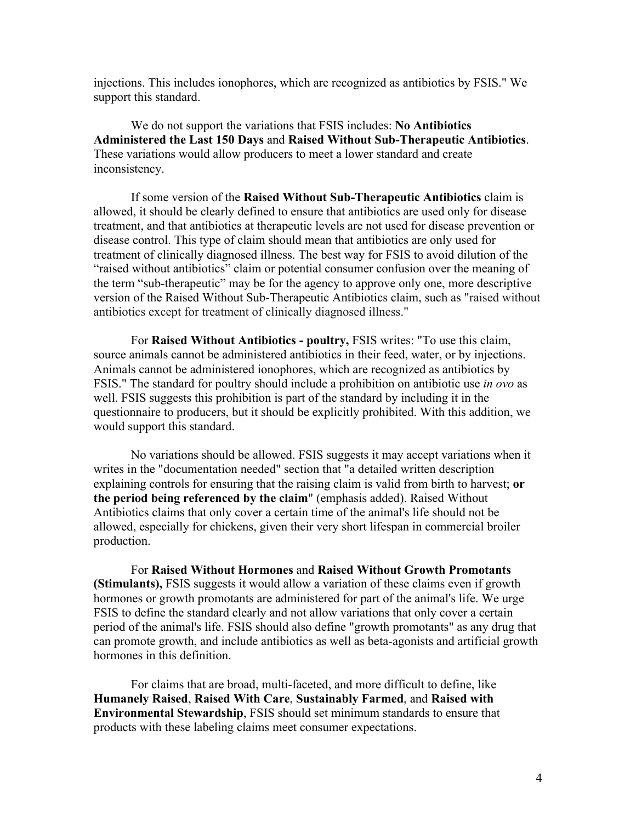injections. This includes ionophores, which are recognized as antibiotics by FSIS." We support this standard.

We do not support the variations that FSIS includes: **No Antibiotics Administered the Last 150 Days** and **Raised Without Sub-Therapeutic Antibiotics**. These variations would allow producers to meet a lower standard and create inconsistency.

If some version of the **Raised Without Sub-Therapeutic Antibiotics** claim is allowed, it should be clearly defined to ensure that antibiotics are used only for disease treatment, and that antibiotics at therapeutic levels are not used for disease prevention or disease control. This type of claim should mean that antibiotics are only used for treatment of clinically diagnosed illness. The best way for FSIS to avoid dilution of the "raised without antibiotics" claim or potential consumer confusion over the meaning of the term "sub-therapeutic" may be for the agency to approve only one, more descriptive version of the Raised Without Sub-Therapeutic Antibiotics claim, such as "raised without antibiotics except for treatment of clinically diagnosed illness."

For **Raised Without Antibiotics - poultry,** FSIS writes: "To use this claim, source animals cannot be administered antibiotics in their feed, water, or by injections. Animals cannot be administered ionophores, which are recognized as antibiotics by FSIS." The standard for poultry should include a prohibition on antibiotic use *in ovo* as well. FSIS suggests this prohibition is part of the standard by including it in the questionnaire to producers, but it should be explicitly prohibited. With this addition, we would support this standard.

No variations should be allowed. FSIS suggests it may accept variations when it writes in the "documentation needed" section that "a detailed written description explaining controls for ensuring that the raising claim is valid from birth to harvest; **or the period being referenced by the claim**" (emphasis added). Raised Without Antibiotics claims that only cover a certain time of the animal's life should not be allowed, especially for chickens, given their very short lifespan in commercial broiler production.

For **Raised Without Hormones** and **Raised Without Growth Promotants (Stimulants),** FSIS suggests it would allow a variation of these claims even if growth hormones or growth promotants are administered for part of the animal's life. We urge FSIS to define the standard clearly and not allow variations that only cover a certain period of the animal's life. FSIS should also define "growth promotants" as any drug that can promote growth, and include antibiotics as well as beta-agonists and artificial growth hormones in this definition.

For claims that are broad, multi-faceted, and more difficult to define, like **Humanely Raised**, **Raised With Care**, **Sustainably Farmed**, and **Raised with Environmental Stewardship**, FSIS should set minimum standards to ensure that products with these labeling claims meet consumer expectations.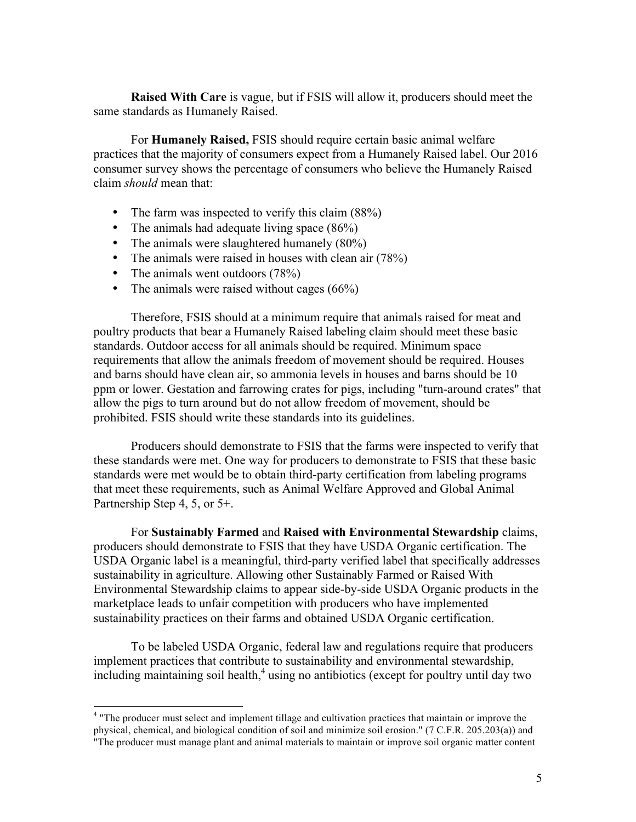**Raised With Care** is vague, but if FSIS will allow it, producers should meet the same standards as Humanely Raised.

For **Humanely Raised,** FSIS should require certain basic animal welfare practices that the majority of consumers expect from a Humanely Raised label. Our 2016 consumer survey shows the percentage of consumers who believe the Humanely Raised claim *should* mean that:

- The farm was inspected to verify this claim (88%)
- The animals had adequate living space (86%)
- The animals were slaughtered humanely (80%)
- The animals were raised in houses with clean air (78%)
- The animals went outdoors (78%)
- The animals were raised without cages (66%)

Therefore, FSIS should at a minimum require that animals raised for meat and poultry products that bear a Humanely Raised labeling claim should meet these basic standards. Outdoor access for all animals should be required. Minimum space requirements that allow the animals freedom of movement should be required. Houses and barns should have clean air, so ammonia levels in houses and barns should be 10 ppm or lower. Gestation and farrowing crates for pigs, including "turn-around crates" that allow the pigs to turn around but do not allow freedom of movement, should be prohibited. FSIS should write these standards into its guidelines.

Producers should demonstrate to FSIS that the farms were inspected to verify that these standards were met. One way for producers to demonstrate to FSIS that these basic standards were met would be to obtain third-party certification from labeling programs that meet these requirements, such as Animal Welfare Approved and Global Animal Partnership Step 4, 5, or 5+.

For **Sustainably Farmed** and **Raised with Environmental Stewardship** claims, producers should demonstrate to FSIS that they have USDA Organic certification. The USDA Organic label is a meaningful, third-party verified label that specifically addresses sustainability in agriculture. Allowing other Sustainably Farmed or Raised With Environmental Stewardship claims to appear side-by-side USDA Organic products in the marketplace leads to unfair competition with producers who have implemented sustainability practices on their farms and obtained USDA Organic certification.

To be labeled USDA Organic, federal law and regulations require that producers implement practices that contribute to sustainability and environmental stewardship, including maintaining soil health, $4$  using no antibiotics (except for poultry until day two

<sup>&</sup>lt;sup>4</sup> "The producer must select and implement tillage and cultivation practices that maintain or improve the physical, chemical, and biological condition of soil and minimize soil erosion." (7 C.F.R. 205.203(a)) and "The producer must manage plant and animal materials to maintain or improve soil organic matter content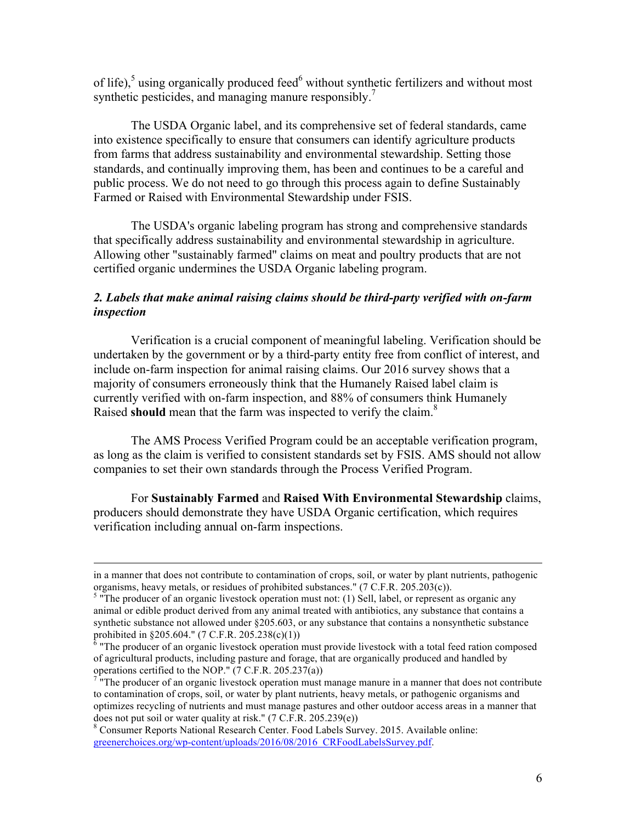of life),<sup>5</sup> using organically produced feed $\delta$  without synthetic fertilizers and without most synthetic pesticides, and managing manure responsibly.<sup>7</sup>

The USDA Organic label, and its comprehensive set of federal standards, came into existence specifically to ensure that consumers can identify agriculture products from farms that address sustainability and environmental stewardship. Setting those standards, and continually improving them, has been and continues to be a careful and public process. We do not need to go through this process again to define Sustainably Farmed or Raised with Environmental Stewardship under FSIS.

The USDA's organic labeling program has strong and comprehensive standards that specifically address sustainability and environmental stewardship in agriculture. Allowing other "sustainably farmed" claims on meat and poultry products that are not certified organic undermines the USDA Organic labeling program.

# *2. Labels that make animal raising claims should be third-party verified with on-farm inspection*

Verification is a crucial component of meaningful labeling. Verification should be undertaken by the government or by a third-party entity free from conflict of interest, and include on-farm inspection for animal raising claims. Our 2016 survey shows that a majority of consumers erroneously think that the Humanely Raised label claim is currently verified with on-farm inspection, and 88% of consumers think Humanely Raised **should** mean that the farm was inspected to verify the claim.<sup>8</sup>

The AMS Process Verified Program could be an acceptable verification program, as long as the claim is verified to consistent standards set by FSIS. AMS should not allow companies to set their own standards through the Process Verified Program.

For **Sustainably Farmed** and **Raised With Environmental Stewardship** claims, producers should demonstrate they have USDA Organic certification, which requires verification including annual on-farm inspections.

<sup>&</sup>lt;u> 1989 - Andrea San Andrea San Andrea San Andrea San Andrea San Andrea San Andrea San Andrea San Andrea San An</u> in a manner that does not contribute to contamination of crops, soil, or water by plant nutrients, pathogenic organisms, heavy metals, or residues of prohibited substances." (7 C.F.R. 205.203(c)).<br><sup>5</sup> "The producer of an organic livestock operation must not: (1) Sell, label, or represent as organic any

animal or edible product derived from any animal treated with antibiotics, any substance that contains a synthetic substance not allowed under §205.603, or any substance that contains a nonsynthetic substance prohibited in §205.604." (7 C.F.R. 205.238(c)(1))<br><sup>6</sup> "The producer of an organic livestock operation must provide livestock with a total feed ration composed

of agricultural products, including pasture and forage, that are organically produced and handled by operations certified to the NOP." (7 C.F.R. 205.237(a))  $\frac{7}{1}$  "The producer of an organic livestock operation must manage manure in a manner that does not contribute

to contamination of crops, soil, or water by plant nutrients, heavy metals, or pathogenic organisms and optimizes recycling of nutrients and must manage pastures and other outdoor access areas in a manner that

does not put soil or water quality at risk." (7 C.F.R. 205.239(e)) <br><sup>8</sup> Consumer Reports National Research Center. Food Labels Survey. 2015. Available online: greenerchoices.org/wp-content/uploads/2016/08/2016\_CRFoodLabelsSurvey.pdf.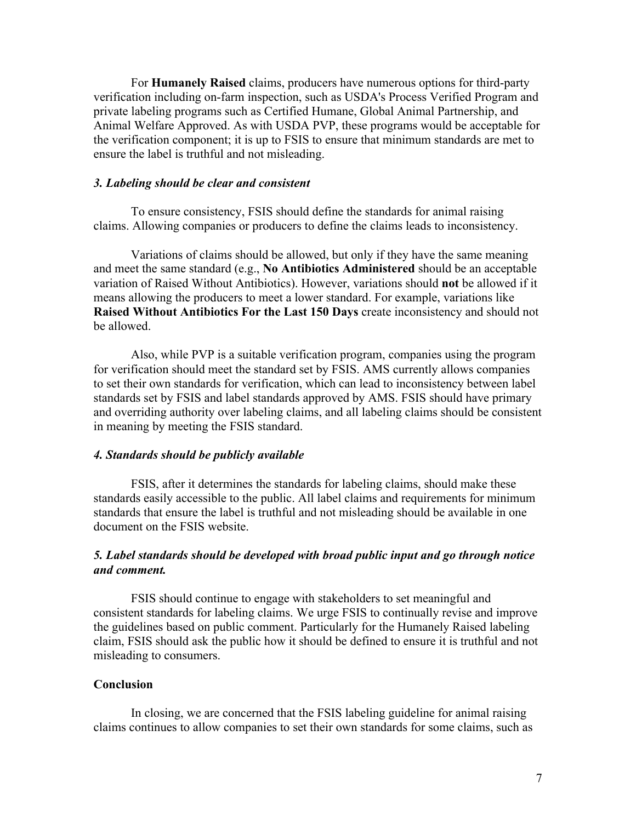For **Humanely Raised** claims, producers have numerous options for third-party verification including on-farm inspection, such as USDA's Process Verified Program and private labeling programs such as Certified Humane, Global Animal Partnership, and Animal Welfare Approved. As with USDA PVP, these programs would be acceptable for the verification component; it is up to FSIS to ensure that minimum standards are met to ensure the label is truthful and not misleading.

#### *3. Labeling should be clear and consistent*

To ensure consistency, FSIS should define the standards for animal raising claims. Allowing companies or producers to define the claims leads to inconsistency.

Variations of claims should be allowed, but only if they have the same meaning and meet the same standard (e.g., **No Antibiotics Administered** should be an acceptable variation of Raised Without Antibiotics). However, variations should **not** be allowed if it means allowing the producers to meet a lower standard. For example, variations like **Raised Without Antibiotics For the Last 150 Days** create inconsistency and should not be allowed.

Also, while PVP is a suitable verification program, companies using the program for verification should meet the standard set by FSIS. AMS currently allows companies to set their own standards for verification, which can lead to inconsistency between label standards set by FSIS and label standards approved by AMS. FSIS should have primary and overriding authority over labeling claims, and all labeling claims should be consistent in meaning by meeting the FSIS standard.

#### *4. Standards should be publicly available*

FSIS, after it determines the standards for labeling claims, should make these standards easily accessible to the public. All label claims and requirements for minimum standards that ensure the label is truthful and not misleading should be available in one document on the FSIS website.

#### *5. Label standards should be developed with broad public input and go through notice and comment.*

FSIS should continue to engage with stakeholders to set meaningful and consistent standards for labeling claims. We urge FSIS to continually revise and improve the guidelines based on public comment. Particularly for the Humanely Raised labeling claim, FSIS should ask the public how it should be defined to ensure it is truthful and not misleading to consumers.

#### **Conclusion**

In closing, we are concerned that the FSIS labeling guideline for animal raising claims continues to allow companies to set their own standards for some claims, such as